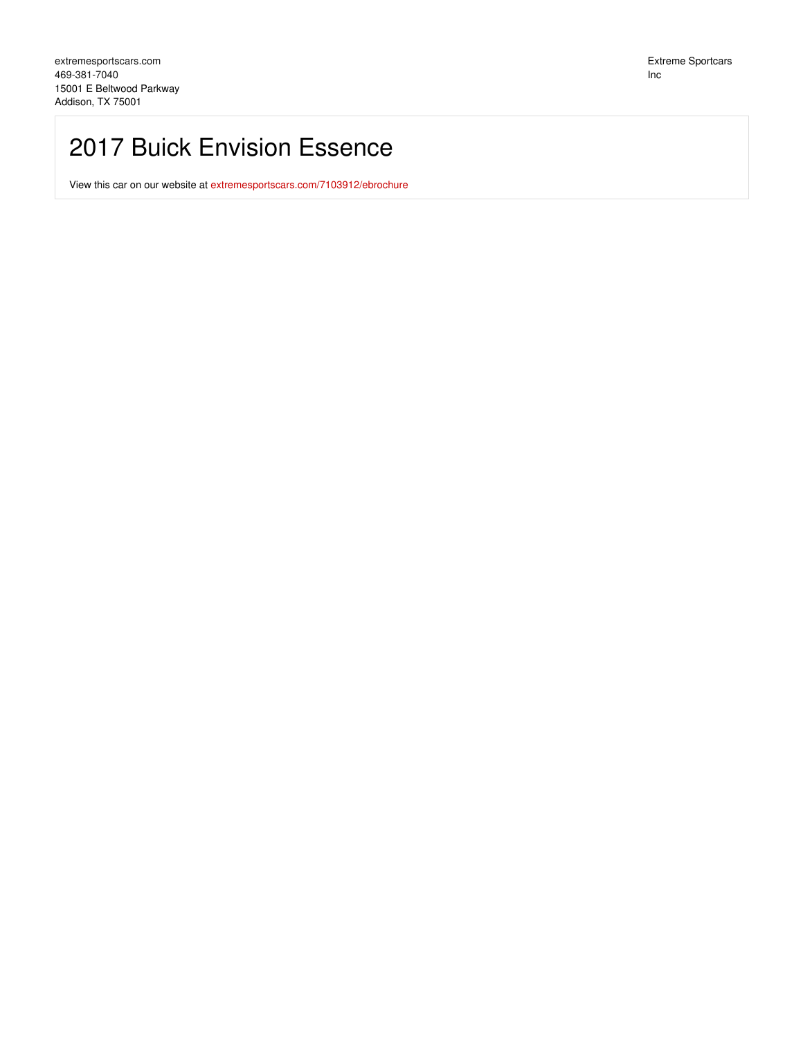## 2017 Buick Envision Essence

View this car on our website at [extremesportscars.com/7103912/ebrochure](https://extremesportscars.com/vehicle/7103912/2017-buick-envision-essence-addison-tx-75001/7103912/ebrochure)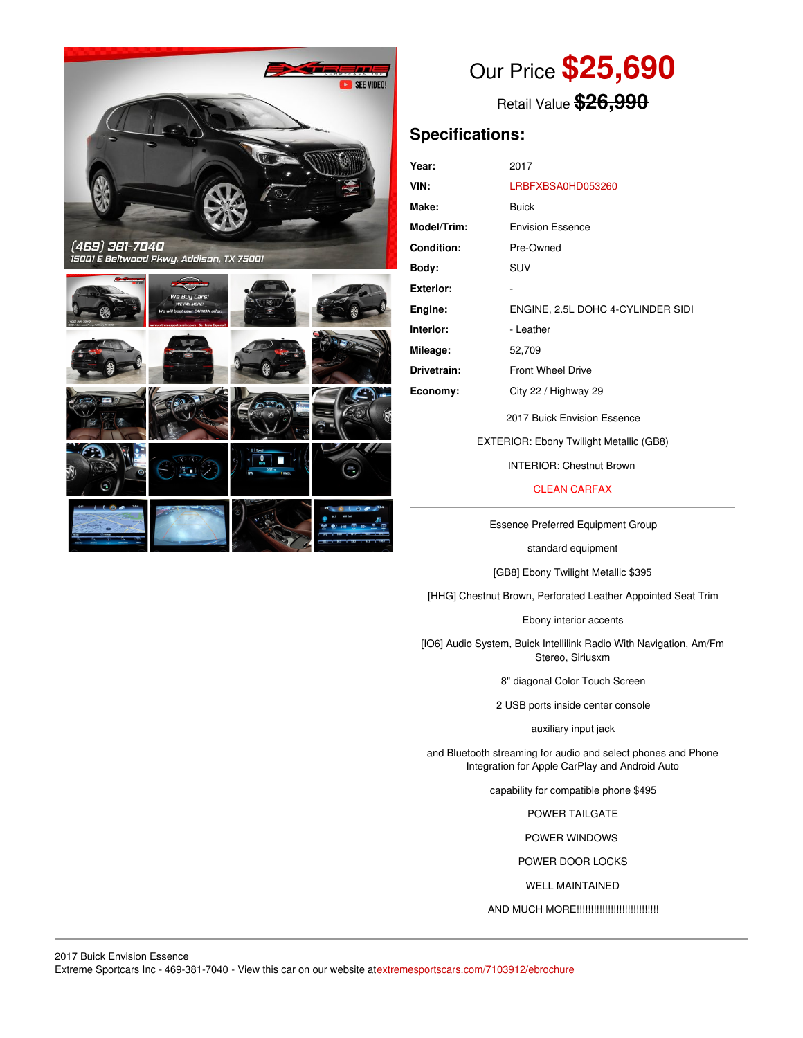

# Our Price **\$25,690**

Retail Value **\$26,990**

## **Specifications:**

| Year:              | 2017                              |
|--------------------|-----------------------------------|
| VIN:               | LRBFXBSA0HD053260                 |
| Make:              | Buick                             |
| <b>Model/Trim:</b> | <b>Envision Essence</b>           |
| <b>Condition:</b>  | Pre-Owned                         |
| Body:              | SUV                               |
| Exterior:          |                                   |
| Engine:            | ENGINE, 2.5L DOHC 4-CYLINDER SIDI |
| Interior:          | - Leather                         |
| Mileage:           | 52,709                            |
| Drivetrain:        | <b>Front Wheel Drive</b>          |
| Economy:           | City 22 / Highway 29              |
|                    | 2017 Buick Envision Essence       |

EXTERIOR: Ebony Twilight Metallic (GB8)

INTERIOR: Chestnut Brown

CLEAN CARFAX

Essence Preferred Equipment Group

standard equipment

[GB8] Ebony Twilight Metallic \$395

[HHG] Chestnut Brown, Perforated Leather Appointed Seat Trim

Ebony interior accents

[IO6] Audio System, Buick Intellilink Radio With Navigation, Am/Fm Stereo, Siriusxm

8" diagonal Color Touch Screen

2 USB ports inside center console

auxiliary input jack

and Bluetooth streaming for audio and select phones and Phone Integration for Apple CarPlay and Android Auto

capability for compatible phone \$495

POWER TAILGATE

POWER WINDOWS

POWER DOOR LOCKS

WELL MAINTAINED

AND MUCH MORE!!!!!!!!!!!!!!!!!!!!!!!!!!!!!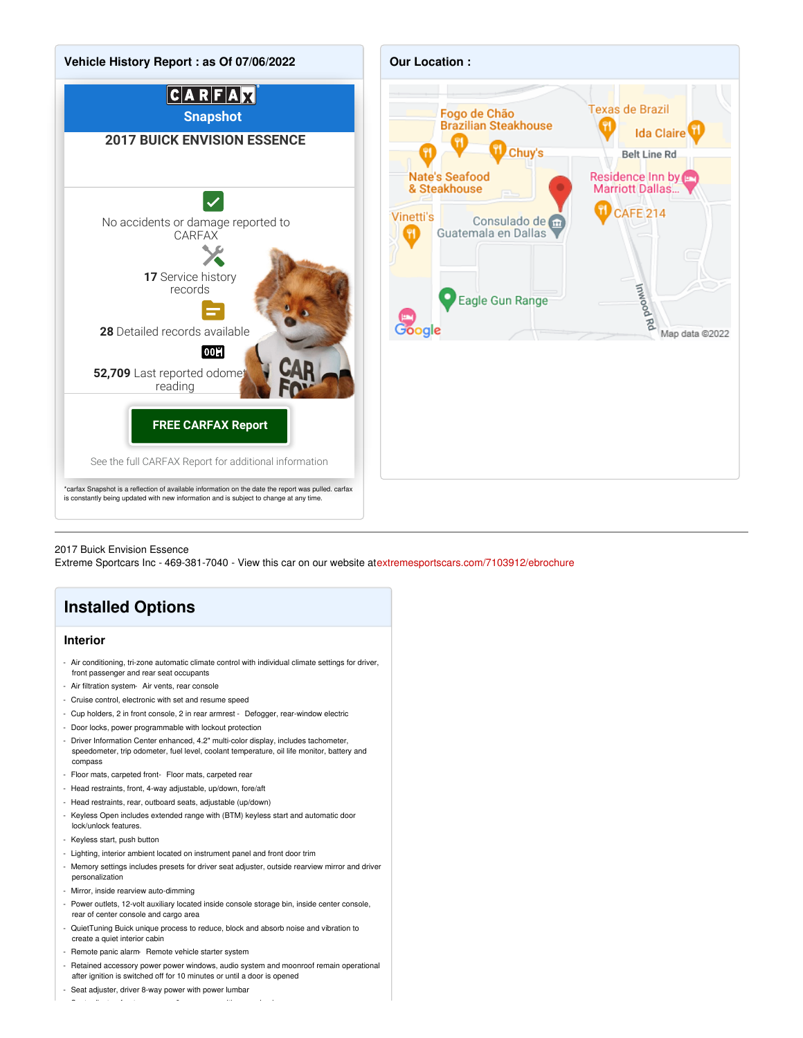

#### 2017 Buick Envision Essence

Extreme Sportcars Inc - 469-381-7040 - View this car on our website at[extremesportscars.com/7103912/ebrochure](https://extremesportscars.com/vehicle/7103912/2017-buick-envision-essence-addison-tx-75001/7103912/ebrochure)

## **Installed Options**

#### **Interior**

- Air conditioning, tri-zone automatic climate control with individual climate settings for driver, front passenger and rear seat occupants
- Air filtration system- Air vents, rear console
- Cruise control, electronic with set and resume speed
- Cup holders, 2 in front console, 2 in rear armrest Defogger, rear-window electric
- Door locks, power programmable with lockout protection
- Driver Information Center enhanced, 4.2" multi-color display, includes tachometer, speedometer, trip odometer, fuel level, coolant temperature, oil life monitor, battery and compass
- Floor mats, carpeted front- Floor mats, carpeted rear
- Head restraints, front, 4-way adjustable, up/down, fore/aft
- Head restraints, rear, outboard seats, adjustable (up/down)
- Keyless Open includes extended range with (BTM) keyless start and automatic door
- lock/unlock features. - Keyless start, push button
- Lighting, interior ambient located on instrument panel and front door trim
- Memory settings includes presets for driver seat adjuster, outside rearview mirror and driver personalization
- Mirror, inside rearview auto-dimming
- Power outlets, 12-volt auxiliary located inside console storage bin, inside center console, rear of center console and cargo area
- QuietTuning Buick unique process to reduce, block and absorb noise and vibration to create a quiet interior cabin
- Remote panic alarm- Remote vehicle starter system
- Retained accessory power power windows, audio system and moonroof remain operational after ignition is switched off for 10 minutes or until a door is opened
- Seat adjuster, driver 8-way power with power lumbar

- Seat adjuster, front passenger 8-way power with power lumbar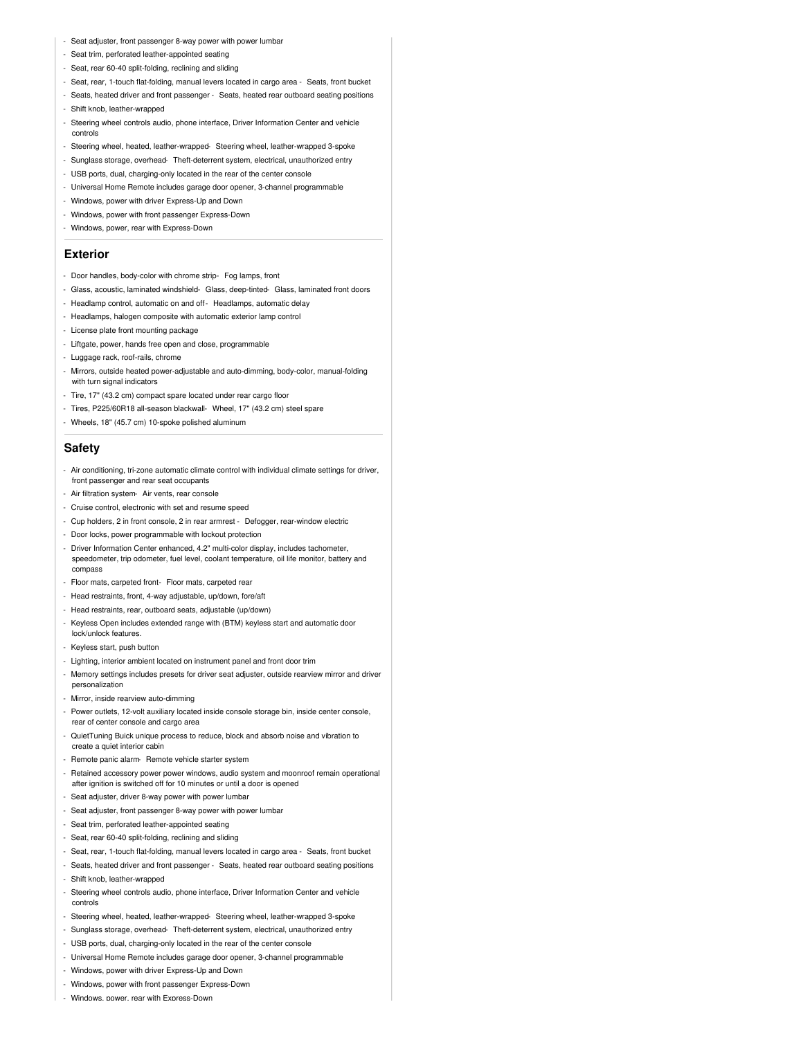- Seat adjuster, front passenger 8-way power with power lumbar
- Seat trim, perforated leather-appointed seating
- Seat, rear 60-40 split-folding, reclining and sliding
- Seat, rear, 1-touch flat-folding, manual levers located in cargo area Seats, front bucket
- Seats, heated driver and front passenger Seats, heated rear outboard seating positions
- Shift knob, leather-wrapped
- Steering wheel controls audio, phone interface, Driver Information Center and vehicle controls
- Steering wheel, heated, leather-wrapped- Steering wheel, leather-wrapped 3-spoke
- Sunglass storage, overhead- Theft-deterrent system, electrical, unauthorized entry
- USB ports, dual, charging-only located in the rear of the center console
- Universal Home Remote includes garage door opener, 3-channel programmable
- Windows, power with driver Express-Up and Down
- Windows, power with front passenger Express-Down
- Windows, power, rear with Express-Down

#### **Exterior**

- Door handles, body-color with chrome strip- Fog lamps, front
- Glass, acoustic, laminated windshield- Glass, deep-tinted- Glass, laminated front doors
- Headlamp control, automatic on and off- Headlamps, automatic delay
- Headlamps, halogen composite with automatic exterior lamp control
- License plate front mounting package
- Liftgate, power, hands free open and close, programmable
- Luggage rack, roof-rails, chrome
- Mirrors, outside heated power-adjustable and auto-dimming, body-color, manual-folding with turn signal indicators
- Tire, 17" (43.2 cm) compact spare located under rear cargo floor
- Tires, P225/60R18 all-season blackwall- Wheel, 17" (43.2 cm) steel spare
- Wheels, 18" (45.7 cm) 10-spoke polished aluminum

#### **Safety**

- Air conditioning, tri-zone automatic climate control with individual climate settings for driver, front passenger and rear seat occupants
- Air filtration system- Air vents, rear console
- Cruise control, electronic with set and resume speed
- Cup holders, 2 in front console, 2 in rear armrest Defogger, rear-window electric
- Door locks, power programmable with lockout protection
- Driver Information Center enhanced, 4.2" multi-color display, includes tachometer, speedometer, trip odometer, fuel level, coolant temperature, oil life monitor, battery and compass
- Floor mats, carpeted front- Floor mats, carpeted rear
- Head restraints, front, 4-way adjustable, up/down, fore/aft
- Head restraints, rear, outboard seats, adjustable (up/down)
- Keyless Open includes extended range with (BTM) keyless start and automatic door lock/unlock features.
- Keyless start, push button
- Lighting, interior ambient located on instrument panel and front door trim
- Memory settings includes presets for driver seat adjuster, outside rearview mirror and driver personalization
- Mirror, inside rearview auto-dimming
- Power outlets, 12-volt auxiliary located inside console storage bin, inside center console, rear of center console and cargo area
- QuietTuning Buick unique process to reduce, block and absorb noise and vibration to create a quiet interior cabin
- Remote panic alarm- Remote vehicle starter system
- Retained accessory power power windows, audio system and moonroof remain operational after ignition is switched off for 10 minutes or until a door is opened
- Seat adjuster, driver 8-way power with power lumbar
- Seat adjuster, front passenger 8-way power with power lumbar
- Seat trim, perforated leather-appointed seating
- Seat, rear 60-40 split-folding, reclining and sliding
- Seat, rear, 1-touch flat-folding, manual levers located in cargo area Seats, front bucket
- Seats, heated driver and front passenger Seats, heated rear outboard seating positions
- Shift knob, leather-wrapped
- Steering wheel controls audio, phone interface, Driver Information Center and vehicle controls
- Steering wheel, heated, leather-wrapped- Steering wheel, leather-wrapped 3-spoke
- Sunglass storage, overhead- Theft-deterrent system, electrical, unauthorized entry
- USB ports, dual, charging-only located in the rear of the center console
- Universal Home Remote includes garage door opener, 3-channel programmable
- Windows, power with driver Express-Up and Down
- Windows, power with front passenger Express-Down
- Windows, power, rear with Express-Down